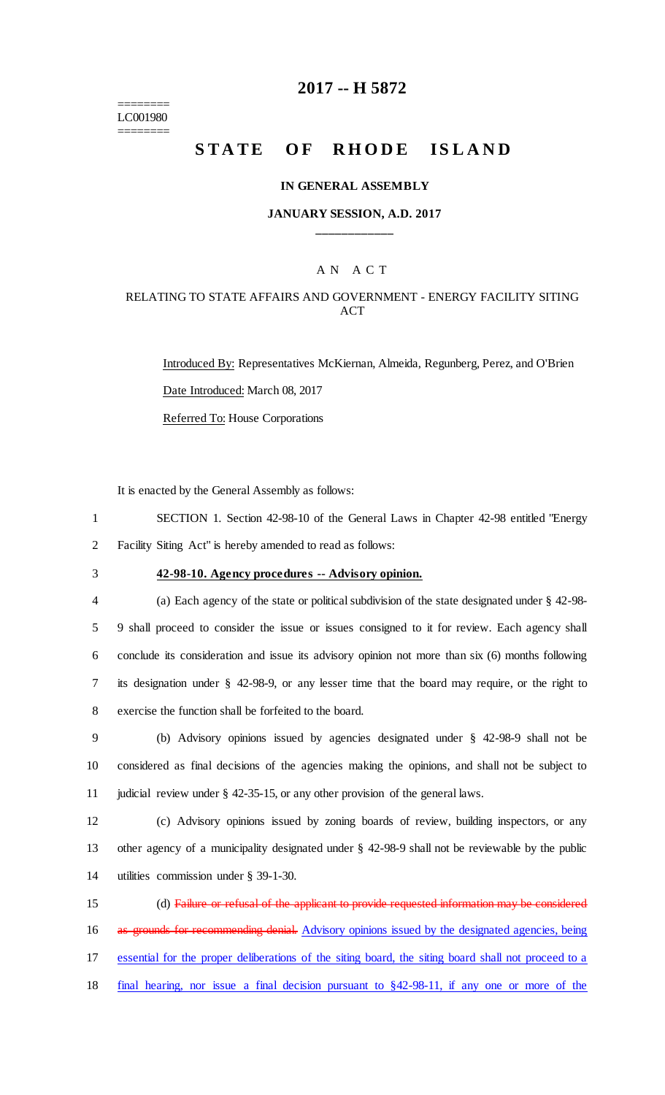======== LC001980 ========

## **2017 -- H 5872**

# **STATE OF RHODE ISLAND**

#### **IN GENERAL ASSEMBLY**

### **JANUARY SESSION, A.D. 2017 \_\_\_\_\_\_\_\_\_\_\_\_**

## A N A C T

## RELATING TO STATE AFFAIRS AND GOVERNMENT - ENERGY FACILITY SITING ACT

Introduced By: Representatives McKiernan, Almeida, Regunberg, Perez, and O'Brien Date Introduced: March 08, 2017 Referred To: House Corporations

It is enacted by the General Assembly as follows:

1 SECTION 1. Section 42-98-10 of the General Laws in Chapter 42-98 entitled "Energy 2 Facility Siting Act" is hereby amended to read as follows:

## 3 **42-98-10. Agency procedures -- Advisory opinion.**

 (a) Each agency of the state or political subdivision of the state designated under § 42-98- 9 shall proceed to consider the issue or issues consigned to it for review. Each agency shall conclude its consideration and issue its advisory opinion not more than six (6) months following its designation under § 42-98-9, or any lesser time that the board may require, or the right to exercise the function shall be forfeited to the board.

9 (b) Advisory opinions issued by agencies designated under § 42-98-9 shall not be 10 considered as final decisions of the agencies making the opinions, and shall not be subject to 11 judicial review under § 42-35-15, or any other provision of the general laws.

12 (c) Advisory opinions issued by zoning boards of review, building inspectors, or any 13 other agency of a municipality designated under § 42-98-9 shall not be reviewable by the public 14 utilities commission under § 39-1-30.

 (d) Failure or refusal of the applicant to provide requested information may be considered 16 as grounds for recommending denial. Advisory opinions issued by the designated agencies, being essential for the proper deliberations of the siting board, the siting board shall not proceed to a final hearing, nor issue a final decision pursuant to §42-98-11, if any one or more of the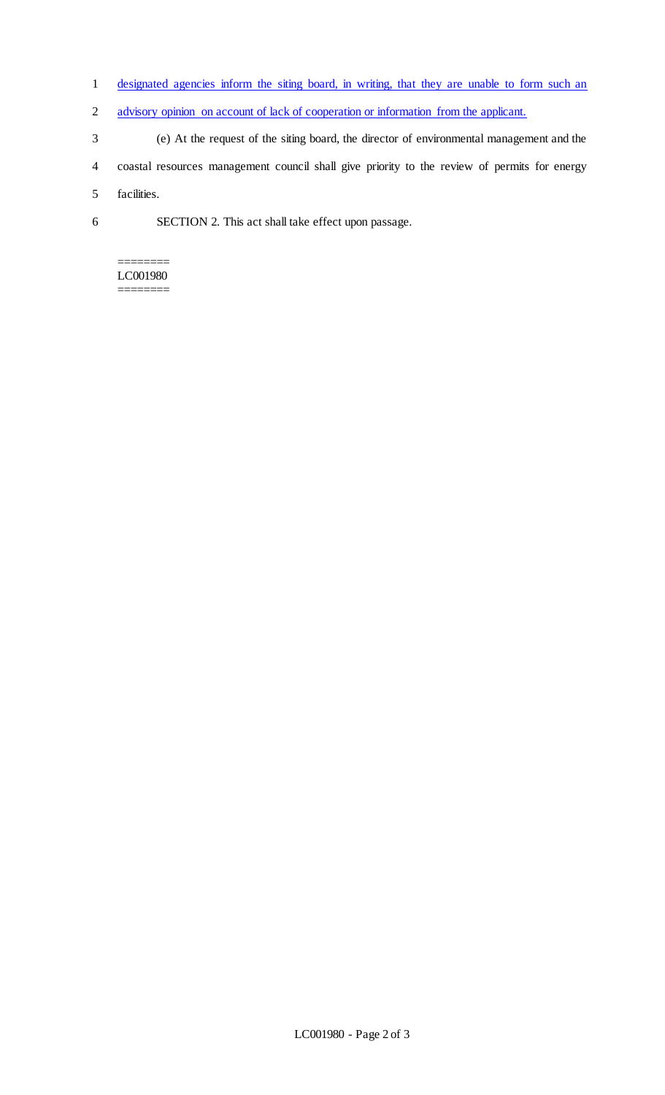- 1 designated agencies inform the siting board, in writing, that they are unable to form such an
- 2 advisory opinion on account of lack of cooperation or information from the applicant.
- 3 (e) At the request of the siting board, the director of environmental management and the
- 4 coastal resources management council shall give priority to the review of permits for energy

5 facilities.

6 SECTION 2. This act shall take effect upon passage.

#### ======== LC001980 ========